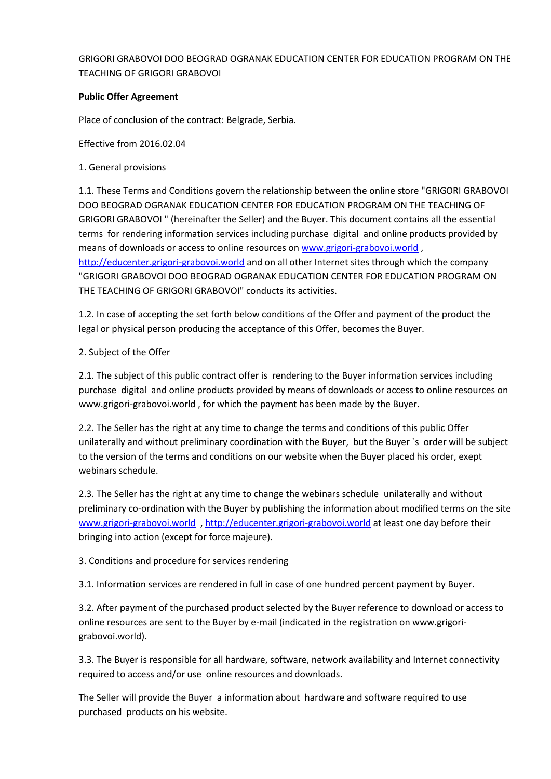# GRIGORI GRABOVOI DOO BEOGRAD OGRANAK EDUCATION CENTER FOR EDUCATION PROGRAM ON THE TEACHING OF GRIGORI GRABOVOI

## **Public Offer Agreement**

Place of conclusion of the contract: Belgrade, Serbia.

Effective from 2016.02.04

1. General provisions

1.1. These Terms and Conditions govern the relationship between the online store "GRIGORI GRABOVOI DOO BEOGRAD OGRANAK EDUCATION CENTER FOR EDUCATION PROGRAM ON THE TEACHING OF GRIGORI GRABOVOI " (hereinafter the Seller) and the Buyer. This document contains all the essential terms for rendering information services including purchase digital and online products provided by means of downloads or access to online resources on [www.grigori-grabovoi.world](http://www.grigori-grabovoi.world/) , [http://educenter.grigori-grabovoi.world](http://educenter.grigori-grabovoi.world/) and on all other Internet sites through which the company "GRIGORI GRABOVOI DOO BEOGRAD OGRANAK EDUCATION CENTER FOR EDUCATION PROGRAM ON THE TEACHING OF GRIGORI GRABOVOI" conducts its activities.

1.2. In case of accepting the set forth below conditions of the Offer and payment of the product the legal or physical person producing the acceptance of this Offer, becomes the Buyer.

## 2. Subject of the Offer

2.1. The subject of this public contract offer is rendering to the Buyer information services including purchase digital and online products provided by means of downloads or access to online resources on www.grigori-grabovoi.world , for which the payment has been made by the Buyer.

2.2. The Seller has the right at any time to change the terms and conditions of this public Offer unilaterally and without preliminary coordination with the Buyer, but the Buyer `s order will be subject to the version of the terms and conditions on our website when the Buyer placed his order, exept webinars schedule.

2.3. The Seller has the right at any time to change the webinars schedule unilaterally and without preliminary co-ordination with the Buyer by publishing the information about modified terms on the site [www.grigori-grabovoi.world](http://www.grigori-grabovoi.world/) [, http://educenter.grigori-grabovoi.world](http://educenter.grigori-grabovoi.world/) at least one day before their bringing into action (except for force majeure).

3. Conditions and procedure for services rendering

3.1. Information services are rendered in full in case of one hundred percent payment by Buyer.

3.2. After payment of the purchased product selected by the Buyer reference to download or access to online resources are sent to the Buyer by e-mail (indicated in the registration on www.grigorigrabovoi.world).

3.3. The Buyer is responsible for all hardware, software, network availability and Internet connectivity required to access and/or use online resources and downloads.

The Seller will provide the Buyer a information about hardware and software required to use purchased products on his website.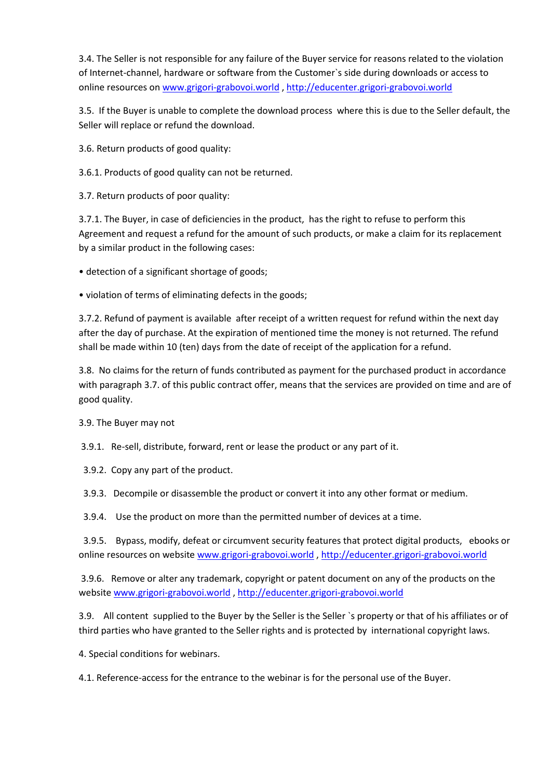3.4. The Seller is not responsible for any failure of the Buyer service for reasons related to the violation of Internet-channel, hardware or software from the Customer`s side during downloads or access to online resources o[n www.grigori-grabovoi.world](http://www.grigori-grabovoi.world/) [, http://educenter.grigori-grabovoi.world](http://educenter.grigori-grabovoi.world/)

3.5. If the Buyer is unable to complete the download process where this is due to the Seller default, the Seller will replace or refund the download.

3.6. Return products of good quality:

3.6.1. Products of good quality can not be returned.

3.7. Return products of poor quality:

3.7.1. The Buyer, in case of deficiencies in the product, has the right to refuse to perform this Agreement and request a refund for the amount of such products, or make a claim for its replacement by a similar product in the following cases:

• detection of a significant shortage of goods;

• violation of terms of eliminating defects in the goods;

3.7.2. Refund of payment is available after receipt of a written request for refund within the next day after the day of purchase. At the expiration of mentioned time the money is not returned. The refund shall be made within 10 (ten) days from the date of receipt of the application for a refund.

3.8. No claims for the return of funds contributed as payment for the purchased product in accordance with paragraph 3.7. of this public contract offer, means that the services are provided on time and are of good quality.

3.9. The Buyer may not

3.9.1. Re-sell, distribute, forward, rent or lease the product or any part of it.

3.9.2. Copy any part of the product.

3.9.3. Decompile or disassemble the product or convert it into any other format or medium.

3.9.4. Use the product on more than the permitted number of devices at a time.

 3.9.5. Bypass, modify, defeat or circumvent security features that protect digital products, ebooks or online resources on website [www.grigori-grabovoi.world](http://www.grigori-grabovoi.world/) , [http://educenter.grigori-grabovoi.world](http://educenter.grigori-grabovoi.world/)

3.9.6. Remove or alter any trademark, copyright or patent document on any of the products on the websit[e www.grigori-grabovoi.world](http://www.grigori-grabovoi.world/) [, http://educenter.grigori-grabovoi.world](http://educenter.grigori-grabovoi.world/)

3.9. All content supplied to the Buyer by the Seller is the Seller `s property or that of his affiliates or of third parties who have granted to the Seller rights and is protected by international copyright laws.

4. Special conditions for webinars.

4.1. Reference-access for the entrance to the webinar is for the personal use of the Buyer.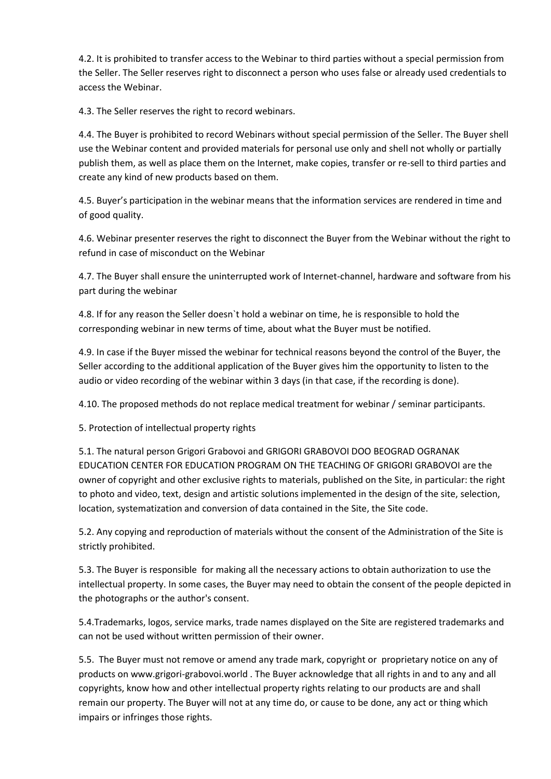4.2. It is prohibited to transfer access to the Webinar to third parties without a special permission from the Seller. The Seller reserves right to disconnect a person who uses false or already used credentials to access the Webinar.

4.3. The Seller reserves the right to record webinars.

4.4. The Buyer is prohibited to record Webinars without special permission of the Seller. The Buyer shell use the Webinar content and provided materials for personal use only and shell not wholly or partially publish them, as well as place them on the Internet, make copies, transfer or re-sell to third parties and create any kind of new products based on them.

4.5. Buyer's participation in the webinar means that the information services are rendered in time and of good quality.

4.6. Webinar presenter reserves the right to disconnect the Buyer from the Webinar without the right to refund in case of misconduct on the Webinar

4.7. The Buyer shall ensure the uninterrupted work of Internet-channel, hardware and software from his part during the webinar

4.8. If for any reason the Seller doesn`t hold a webinar on time, he is responsible to hold the corresponding webinar in new terms of time, about what the Buyer must be notified.

4.9. In case if the Buyer missed the webinar for technical reasons beyond the control of the Buyer, the Seller according to the additional application of the Buyer gives him the opportunity to listen to the audio or video recording of the webinar within 3 days (in that case, if the recording is done).

4.10. The proposed methods do not replace medical treatment for webinar / seminar participants.

5. Protection of intellectual property rights

5.1. The natural person Grigori Grabovoi and GRIGORI GRABOVOI DOO BEOGRAD OGRANAK EDUCATION CENTER FOR EDUCATION PROGRAM ON THE TEACHING OF GRIGORI GRABOVOI are the owner of copyright and other exclusive rights to materials, published on the Site, in particular: the right to photo and video, text, design and artistic solutions implemented in the design of the site, selection, location, systematization and conversion of data contained in the Site, the Site code.

5.2. Any copying and reproduction of materials without the consent of the Administration of the Site is strictly prohibited.

5.3. The Buyer is responsible for making all the necessary actions to obtain authorization to use the intellectual property. In some cases, the Buyer may need to obtain the consent of the people depicted in the photographs or the author's consent.

5.4.Trademarks, logos, service marks, trade names displayed on the Site are registered trademarks and can not be used without written permission of their owner.

5.5. The Buyer must not remove or amend any trade mark, copyright or proprietary notice on any of products on www.grigori-grabovoi.world . The Buyer acknowledge that all rights in and to any and all copyrights, know how and other intellectual property rights relating to our products are and shall remain our property. The Buyer will not at any time do, or cause to be done, any act or thing which impairs or infringes those rights.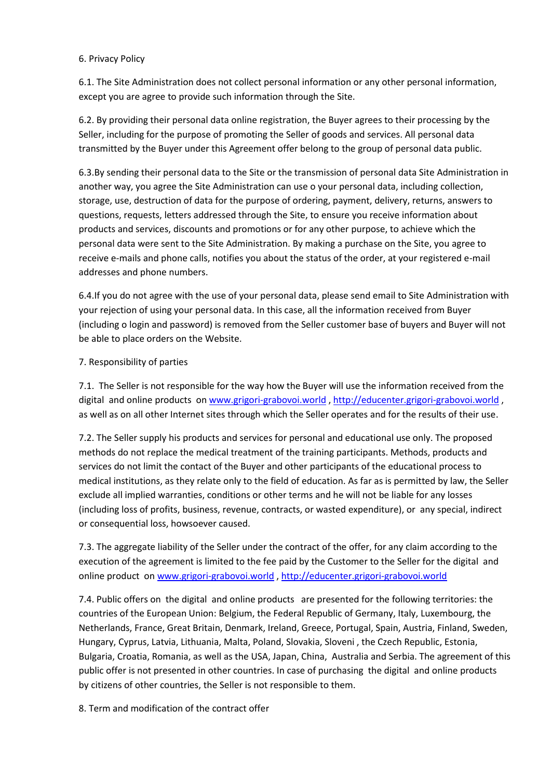#### 6. Privacy Policy

6.1. The Site Administration does not collect personal information or any other personal information, except you are agree to provide such information through the Site.

6.2. By providing their personal data online registration, the Buyer agrees to their processing by the Seller, including for the purpose of promoting the Seller of goods and services. All personal data transmitted by the Buyer under this Agreement offer belong to the group of personal data public.

6.3.By sending their personal data to the Site or the transmission of personal data Site Administration in another way, you agree the Site Administration can use o your personal data, including collection, storage, use, destruction of data for the purpose of ordering, payment, delivery, returns, answers to questions, requests, letters addressed through the Site, to ensure you receive information about products and services, discounts and promotions or for any other purpose, to achieve which the personal data were sent to the Site Administration. By making a purchase on the Site, you agree to receive e-mails and phone calls, notifies you about the status of the order, at your registered e-mail addresses and phone numbers.

6.4.If you do not agree with the use of your personal data, please send email to Site Administration with your rejection of using your personal data. In this case, all the information received from Buyer (including o login and password) is removed from the Seller customer base of buyers and Buyer will not be able to place orders on the Website.

## 7. Responsibility of parties

7.1. The Seller is not responsible for the way how the Buyer will use the information received from the digital and online products on [www.grigori-grabovoi.world](http://www.grigori-grabovoi.world/) , [http://educenter.grigori-grabovoi.world](http://educenter.grigori-grabovoi.world/) , as well as on all other Internet sites through which the Seller operates and for the results of their use.

7.2. The Seller supply his products and services for personal and educational use only. The proposed methods do not replace the medical treatment of the training participants. Methods, products and services do not limit the contact of the Buyer and other participants of the educational process to medical institutions, as they relate only to the field of education. As far as is permitted by law, the Seller exclude all implied warranties, conditions or other terms and he will not be liable for any losses (including loss of profits, business, revenue, contracts, or wasted expenditure), or any special, indirect or consequential loss, howsoever caused.

7.3. The aggregate liability of the Seller under the contract of the оffer, for any claim according to the execution of the agreement is limited to the fee paid by the Customer to the Seller for the digital and online product on [www.grigori-grabovoi.world](http://www.grigori-grabovoi.world/) , [http://educenter.grigori-grabovoi.world](http://educenter.grigori-grabovoi.world/)

7.4. Public offers on the digital and online products are presented for the following territories: the countries of the European Union: Belgium, the Federal Republic of Germany, Italy, Luxembourg, the Netherlands, France, Great Britain, Denmark, Ireland, Greece, Portugal, Spain, Austria, Finland, Sweden, Hungary, Cyprus, Latvia, Lithuania, Malta, Poland, Slovakia, Sloveni , the Czech Republic, Estonia, Bulgaria, Croatia, Romania, as well as the USA, Japan, China, Australia and Serbia. The agreement of this public offer is not presented in other countries. In case of purchasing the digital and online products by citizens of other countries, the Seller is not responsible to them.

8. Term and modification of the contract offer